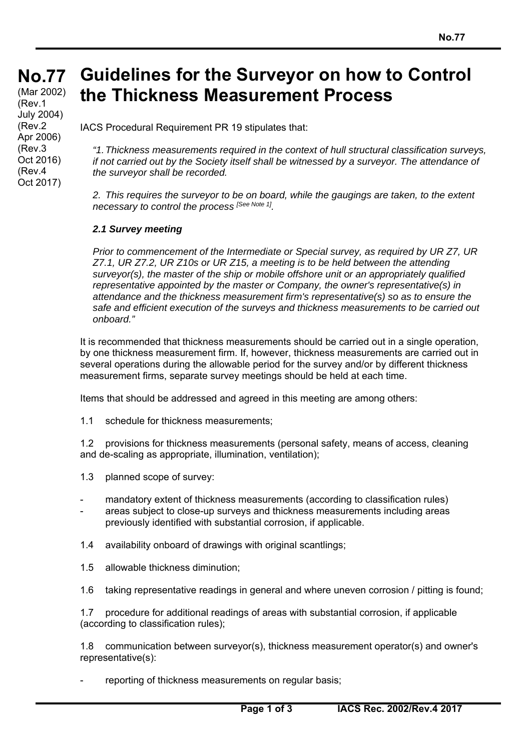## **No. No.77 Guidelines for the Surveyor on how to Control the Thickness Measurement Process**

(Mar 20<br>(Rev.1 July 2004) (Mar 2002) (Rev.2 Apr 2006) (Rev.3 Oct 2016) (Rev.4 Oct 2017)

IACS Procedural Requirement PR 19 stipulates that:

*"1. Thickness measurements required in the context of hull structural classification surveys, if not carried out by the Society itself shall be witnessed by a surveyor. The attendance of the surveyor shall be recorded.* 

*2. This requires the surveyor to be on board, while the gaugings are taken, to the extent necessary to control the process [See Note 1].* 

## *2.1 Survey meeting*

*Prior to commencement of the Intermediate or Special survey, as required by UR Z7, UR Z7.1, UR Z7.2, UR Z10s or UR Z15, a meeting is to be held between the attending surveyor(s), the master of the ship or mobile offshore unit or an appropriately qualified representative appointed by the master or Company, the owner's representative(s) in attendance and the thickness measurement firm's representative(s) so as to ensure the safe and efficient execution of the surveys and thickness measurements to be carried out onboard."* 

It is recommended that thickness measurements should be carried out in a single operation, by one thickness measurement firm. If, however, thickness measurements are carried out in several operations during the allowable period for the survey and/or by different thickness measurement firms, separate survey meetings should be held at each time.

Items that should be addressed and agreed in this meeting are among others:

1.1 schedule for thickness measurements;

1.2 provisions for thickness measurements (personal safety, means of access, cleaning and de-scaling as appropriate, illumination, ventilation);

1.3 planned scope of survey:

- mandatory extent of thickness measurements (according to classification rules)
- areas subject to close-up surveys and thickness measurements including areas previously identified with substantial corrosion, if applicable.

1.4 availability onboard of drawings with original scantlings;

1.5 allowable thickness diminution;

 $\overline{a}$ 

1.6 taking representative readings in general and where uneven corrosion / pitting is found;

1.7 procedure for additional readings of areas with substantial corrosion, if applicable (according to classification rules);

1.8 communication between surveyor(s), thickness measurement operator(s) and owner's representative(s):

reporting of thickness measurements on regular basis;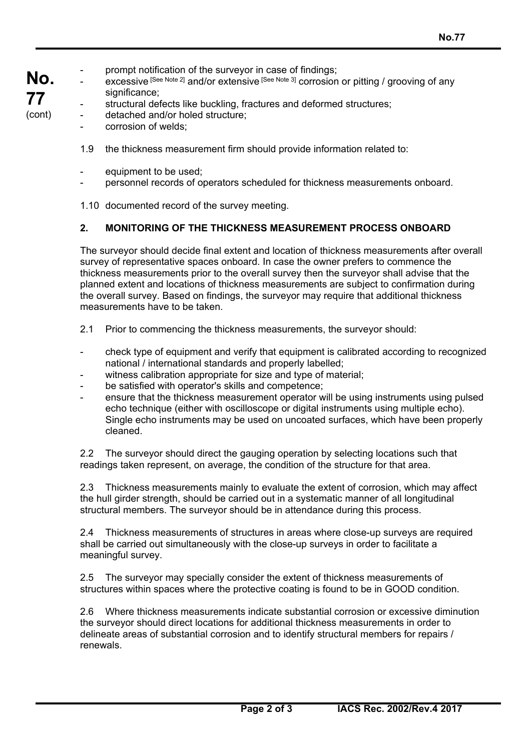- **No.**  prompt notification of the surveyor in case of findings;
	- excessive [See Note 2] and/or extensive [See Note 3] corrosion or pitting / grooving of any significance;
		- structural defects like buckling, fractures and deformed structures;
		- detached and/or holed structure;
			- corrosion of welds:
			- 1.9 the thickness measurement firm should provide information related to:
			- equipment to be used;
			- personnel records of operators scheduled for thickness measurements onboard.
			- 1.10 documented record of the survey meeting.

# **2. MONITORING OF THE THICKNESS MEASUREMENT PROCESS ONBOARD**

The surveyor should decide final extent and location of thickness measurements after overall survey of representative spaces onboard. In case the owner prefers to commence the thickness measurements prior to the overall survey then the surveyor shall advise that the planned extent and locations of thickness measurements are subject to confirmation during the overall survey. Based on findings, the surveyor may require that additional thickness measurements have to be taken.

- 2.1 Prior to commencing the thickness measurements, the surveyor should:
- check type of equipment and verify that equipment is calibrated according to recognized national / international standards and properly labelled;
- witness calibration appropriate for size and type of material;
- be satisfied with operator's skills and competence;
- ensure that the thickness measurement operator will be using instruments using pulsed echo technique (either with oscilloscope or digital instruments using multiple echo). Single echo instruments may be used on uncoated surfaces, which have been properly cleaned.

2.2 The surveyor should direct the gauging operation by selecting locations such that readings taken represent, on average, the condition of the structure for that area.

2.3 Thickness measurements mainly to evaluate the extent of corrosion, which may affect the hull girder strength, should be carried out in a systematic manner of all longitudinal structural members. The surveyor should be in attendance during this process.

2.4 Thickness measurements of structures in areas where close-up surveys are required shall be carried out simultaneously with the close-up surveys in order to facilitate a meaningful survey.

2.5 The surveyor may specially consider the extent of thickness measurements of structures within spaces where the protective coating is found to be in GOOD condition.

2.6 Where thickness measurements indicate substantial corrosion or excessive diminution the surveyor should direct locations for additional thickness measurements in order to delineate areas of substantial corrosion and to identify structural members for repairs / renewals.

**77**  (cont)

 $\overline{a}$